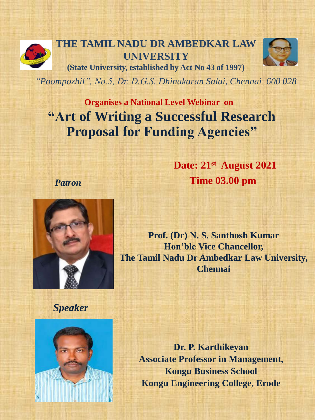

**THE TAMIL NADU DR AMBEDKAR LAW UNIVERSITY (State University, established by Act No 43 of 1997)** 



*"Poompozhil", No.5, Dr. D.G.S. Dhinakaran Salai, Chennai–600 028*

**Organises a National Level Webinar on "Art of Writing a Successful Research Proposal for Funding Agencies"**

> **Date: 21st August 2021 Time 03.00 pm**



*Patron* 

**Prof. (Dr) N. S. Santhosh Kumar Hon'ble Vice Chancellor, The Tamil Nadu Dr Ambedkar Law University, Chennai**

*Speaker*



**Dr. P. Karthikeyan Associate Professor in Management, Kongu Business School Kongu Engineering College, Erode**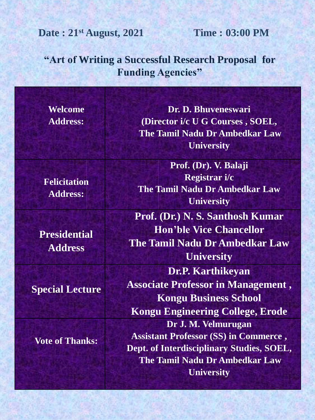# **Date : 21st August, 2021 Time : 03:00 PM**

## **"Art of Writing a Successful Research Proposal for Funding Agencies"**

| Welcome                                | Dr. D. Bhuveneswari                          |
|----------------------------------------|----------------------------------------------|
| <b>Address:</b>                        | (Director i/c U G Courses, SOEL,             |
|                                        | <b>The Tamil Nadu Dr Ambedkar Law</b>        |
|                                        | <b>University</b>                            |
| <b>Felicitation</b><br><b>Address:</b> | Prof. (Dr). V. Balaji                        |
|                                        | Registrar i/c                                |
|                                        | <b>The Tamil Nadu Dr Ambedkar Law</b>        |
|                                        | <b>University</b>                            |
|                                        | Prof. (Dr.) N. S. Santhosh Kumar             |
| <b>Presidential</b><br><b>Address</b>  | <b>Hon'ble Vice Chancellor</b>               |
|                                        | <b>The Tamil Nadu Dr Ambedkar Law</b>        |
|                                        | <b>University</b>                            |
| <b>Special Lecture</b>                 | Dr.P. Karthikeyan                            |
|                                        | <b>Associate Professor in Management,</b>    |
|                                        | <b>Kongu Business School</b>                 |
|                                        | <b>Kongu Engineering College, Erode</b>      |
| <b>Vote of Thanks:</b>                 | Dr J. M. Velmurugan                          |
|                                        | <b>Assistant Professor (SS) in Commerce,</b> |
|                                        | Dept. of Interdisciplinary Studies, SOEL,    |
|                                        | <b>The Tamil Nadu Dr Ambedkar Law</b>        |
|                                        | <b>University</b>                            |